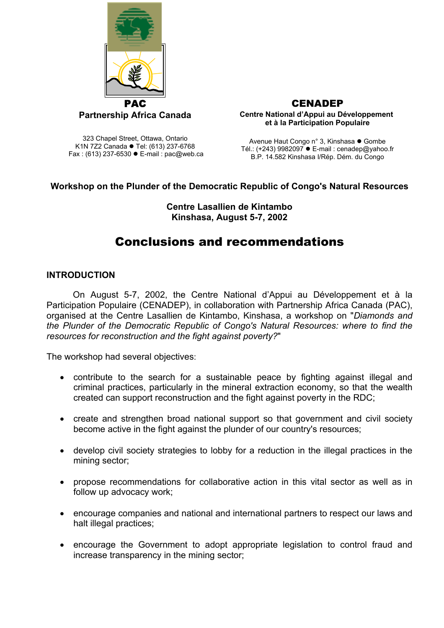

**CENADEP Centre National d'Appui au Développement et à la Participation Populaire**

323 Chapel Street, Ottawa, Ontario K1N 7Z2 Canada • Tel: (613) 237-6768 Fax : (613) 237-6530  $\bullet$  E-mail : pac@web.ca

Avenue Haut Congo n° 3, Kinshasa ● Gombe Tél.: (+243) 9982097  $\bullet$  E-mail : cenadep@yahoo.fr B.P. 14.582 Kinshasa I/Rép. Dém. du Congo

# **Workshop on the Plunder of the Democratic Republic of Congo's Natural Resources**

#### **Centre Lasallien de Kintambo Kinshasa, August 5-7, 2002**

# Conclusions and recommendations

# **INTRODUCTION**

On August 5-7, 2002, the Centre National d'Appui au Développement et à la Participation Populaire (CENADEP), in collaboration with Partnership Africa Canada (PAC), organised at the Centre Lasallien de Kintambo, Kinshasa, a workshop on "*Diamonds and the Plunder of the Democratic Republic of Congo's Natural Resources: where to find the resources for reconstruction and the fight against poverty?*"

The workshop had several objectives:

- contribute to the search for a sustainable peace by fighting against illegal and criminal practices, particularly in the mineral extraction economy, so that the wealth created can support reconstruction and the fight against poverty in the RDC;
- create and strengthen broad national support so that government and civil society become active in the fight against the plunder of our country's resources;
- develop civil society strategies to lobby for a reduction in the illegal practices in the mining sector;
- propose recommendations for collaborative action in this vital sector as well as in follow up advocacy work;
- encourage companies and national and international partners to respect our laws and halt illegal practices;
- encourage the Government to adopt appropriate legislation to control fraud and increase transparency in the mining sector;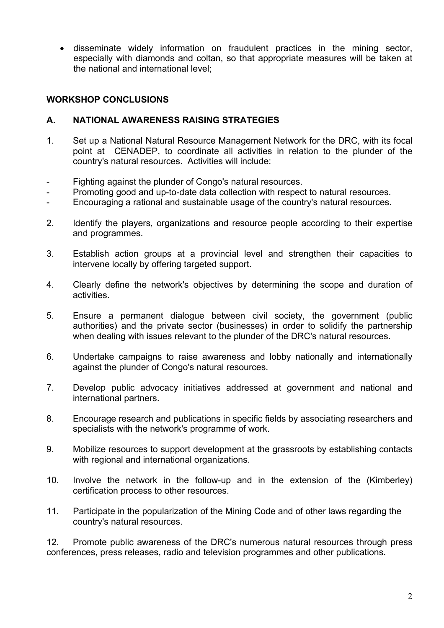• disseminate widely information on fraudulent practices in the mining sector, especially with diamonds and coltan, so that appropriate measures will be taken at the national and international level;

## **WORKSHOP CONCLUSIONS**

## **A. NATIONAL AWARENESS RAISING STRATEGIES**

- 1. Set up a National Natural Resource Management Network for the DRC, with its focal point at CENADEP, to coordinate all activities in relation to the plunder of the country's natural resources. Activities will include:
- Fighting against the plunder of Congo's natural resources.
- Promoting good and up-to-date data collection with respect to natural resources.
- Encouraging a rational and sustainable usage of the country's natural resources.
- 2. Identify the players, organizations and resource people according to their expertise and programmes.
- 3. Establish action groups at a provincial level and strengthen their capacities to intervene locally by offering targeted support.
- 4. Clearly define the network's objectives by determining the scope and duration of activities.
- 5. Ensure a permanent dialogue between civil society, the government (public authorities) and the private sector (businesses) in order to solidify the partnership when dealing with issues relevant to the plunder of the DRC's natural resources.
- 6. Undertake campaigns to raise awareness and lobby nationally and internationally against the plunder of Congo's natural resources.
- 7. Develop public advocacy initiatives addressed at government and national and international partners.
- 8. Encourage research and publications in specific fields by associating researchers and specialists with the network's programme of work.
- 9. Mobilize resources to support development at the grassroots by establishing contacts with regional and international organizations.
- 10. Involve the network in the follow-up and in the extension of the (Kimberley) certification process to other resources.
- 11. Participate in the popularization of the Mining Code and of other laws regarding the country's natural resources.

12. Promote public awareness of the DRC's numerous natural resources through press conferences, press releases, radio and television programmes and other publications.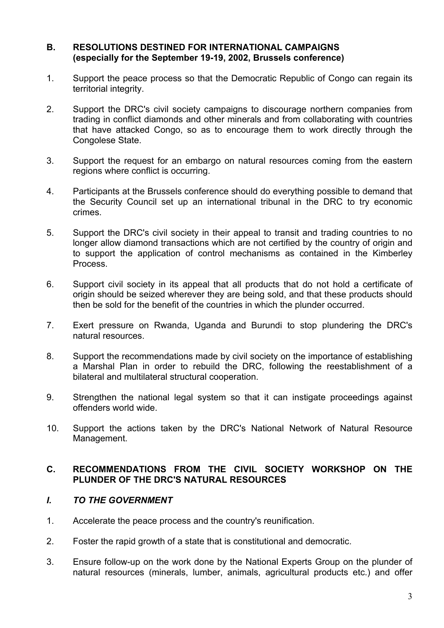#### **B. RESOLUTIONS DESTINED FOR INTERNATIONAL CAMPAIGNS (especially for the September 19-19, 2002, Brussels conference)**

- 1. Support the peace process so that the Democratic Republic of Congo can regain its territorial integrity.
- 2. Support the DRC's civil society campaigns to discourage northern companies from trading in conflict diamonds and other minerals and from collaborating with countries that have attacked Congo, so as to encourage them to work directly through the Congolese State.
- 3. Support the request for an embargo on natural resources coming from the eastern regions where conflict is occurring.
- 4. Participants at the Brussels conference should do everything possible to demand that the Security Council set up an international tribunal in the DRC to try economic crimes.
- 5. Support the DRC's civil society in their appeal to transit and trading countries to no longer allow diamond transactions which are not certified by the country of origin and to support the application of control mechanisms as contained in the Kimberley Process.
- 6. Support civil society in its appeal that all products that do not hold a certificate of origin should be seized wherever they are being sold, and that these products should then be sold for the benefit of the countries in which the plunder occurred.
- 7. Exert pressure on Rwanda, Uganda and Burundi to stop plundering the DRC's natural resources.
- 8. Support the recommendations made by civil society on the importance of establishing a Marshal Plan in order to rebuild the DRC, following the reestablishment of a bilateral and multilateral structural cooperation.
- 9. Strengthen the national legal system so that it can instigate proceedings against offenders world wide.
- 10. Support the actions taken by the DRC's National Network of Natural Resource Management.

#### **C. RECOMMENDATIONS FROM THE CIVIL SOCIETY WORKSHOP ON THE PLUNDER OF THE DRC'S NATURAL RESOURCES**

#### *I. TO THE GOVERNMENT*

- 1. Accelerate the peace process and the country's reunification.
- 2. Foster the rapid growth of a state that is constitutional and democratic.
- 3. Ensure follow-up on the work done by the National Experts Group on the plunder of natural resources (minerals, lumber, animals, agricultural products etc.) and offer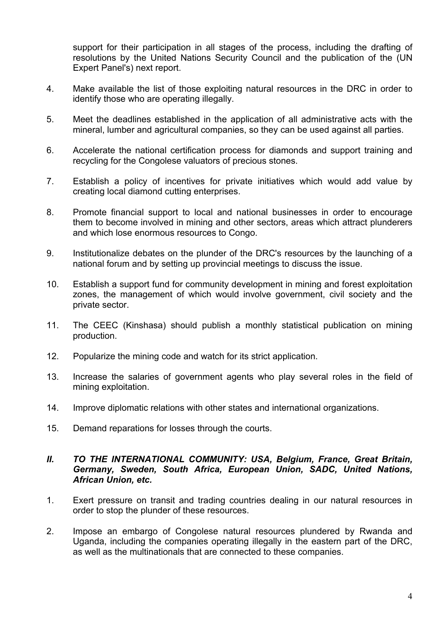support for their participation in all stages of the process, including the drafting of resolutions by the United Nations Security Council and the publication of the (UN Expert Panel's) next report.

- 4. Make available the list of those exploiting natural resources in the DRC in order to identify those who are operating illegally.
- 5. Meet the deadlines established in the application of all administrative acts with the mineral, lumber and agricultural companies, so they can be used against all parties.
- 6. Accelerate the national certification process for diamonds and support training and recycling for the Congolese valuators of precious stones.
- 7. Establish a policy of incentives for private initiatives which would add value by creating local diamond cutting enterprises.
- 8. Promote financial support to local and national businesses in order to encourage them to become involved in mining and other sectors, areas which attract plunderers and which lose enormous resources to Congo.
- 9. Institutionalize debates on the plunder of the DRC's resources by the launching of a national forum and by setting up provincial meetings to discuss the issue.
- 10. Establish a support fund for community development in mining and forest exploitation zones, the management of which would involve government, civil society and the private sector.
- 11. The CEEC (Kinshasa) should publish a monthly statistical publication on mining production.
- 12. Popularize the mining code and watch for its strict application.
- 13. Increase the salaries of government agents who play several roles in the field of mining exploitation.
- 14. Improve diplomatic relations with other states and international organizations.
- 15. Demand reparations for losses through the courts.

#### *II. TO THE INTERNATIONAL COMMUNITY: USA, Belgium, France, Great Britain, Germany, Sweden, South Africa, European Union, SADC, United Nations, African Union, etc.*

- 1. Exert pressure on transit and trading countries dealing in our natural resources in order to stop the plunder of these resources.
- 2. Impose an embargo of Congolese natural resources plundered by Rwanda and Uganda, including the companies operating illegally in the eastern part of the DRC, as well as the multinationals that are connected to these companies.